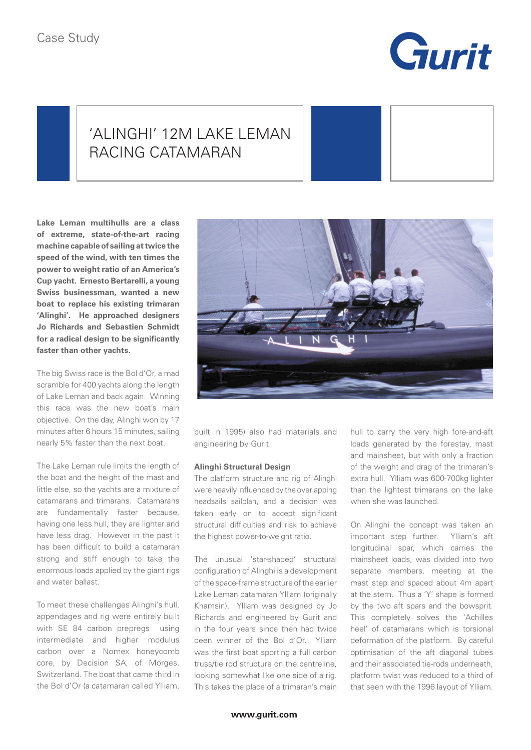

## 'ALINGHI' 12M LAKE LEMAN RACING CATAMARAN

**Lake Leman multihulls are a class of extreme, state-of-the-art racing machine capable of sailing at twice the speed of the wind, with ten times the power to weight ratio of an America's Cup yacht. Ernesto Bertarelli, a young Swiss businessman, wanted a new boat to replace his existing trimaran 'Alinghi'. He approached designers Jo Richards and Sebastien Schmidt for a radical design to be significantly faster than other yachts.**

The big Swiss race is the Bol d'Or, a mad scramble for 400 yachts along the length of Lake Leman and back again. Winning this race was the new boat's main objective. On the day, Alinghi won by 17 minutes after 6 hours 15 minutes, sailing nearly 5% faster than the next boat.

The Lake Leman rule limits the length of the boat and the height of the mast and little else, so the yachts are a mixture of catamarans and trimarans. Catamarans are fundamentally faster because, having one less hull, they are lighter and have less drag. However in the past it has been difficult to build a catamaran strong and stiff enough to take the enormous loads applied by the giant rigs and water ballast.

To meet these challenges Alinghi's hull, appendages and rig were entirely built with SE 84 carbon prepregs using intermediate and higher modulus carbon over a Nomex honeycomb core, by Decision SA, of Morges, Switzerland. The boat that came third in the Bol d'Or (a catamaran called Ylliam,



built in 1995) also had materials and engineering by Gurit.

## **Alinghi Structural Design**

The platform structure and rig of Alinghi were heavily influenced by the overlapping headsails sailplan, and a decision was taken early on to accept significant structural difficulties and risk to achieve the highest power-to-weight ratio.

The unusual 'star-shaped' structural configuration of Alinghi is a development of the space-frame structure of the earlier Lake Leman catamaran Ylliam (originally Khamsin). Ylliam was designed by Jo Richards and engineered by Gurit and in the four years since then had twice been winner of the Bol d'Or. Ylliam was the first boat sporting a full carbon truss/tie rod structure on the centreline, looking somewhat like one side of a rig. This takes the place of a trimaran's main hull to carry the very high fore-and-aft loads generated by the forestay, mast and mainsheet, but with only a fraction of the weight and drag of the trimaran's extra hull. Ylliam was 600-700kg lighter than the lightest trimarans on the lake when she was launched.

On Alinghi the concept was taken an important step further. Ylliam's aft longitudinal spar, which carries the mainsheet loads, was divided into two separate members, meeting at the mast step and spaced about 4m apart at the stern. Thus a 'Y' shape is formed by the two aft spars and the bowsprit. This completely solves the 'Achilles heel' of catamarans which is torsional deformation of the platform. By careful optimisation of the aft diagonal tubes and their associated tie-rods underneath, platform twist was reduced to a third of that seen with the 1996 layout of Ylliam.